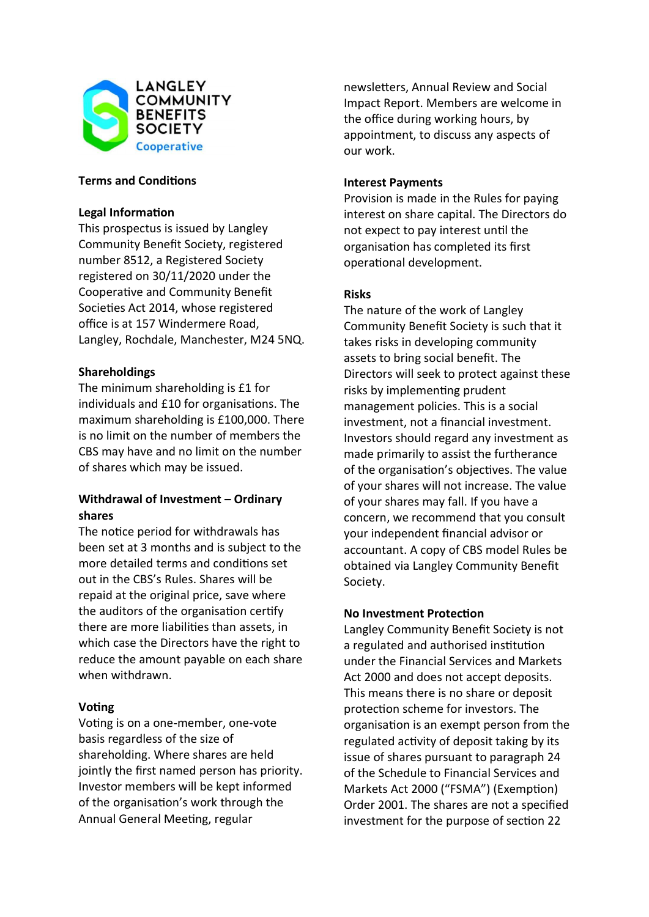

# **Terms and Conditions**

### Legal Information

This prospectus is issued by Langley Community Benefit Society, registered number 8512, a Registered Society registered on 30/11/2020 under the Cooperative and Community Benefit Societies Act 2014, whose registered office is at 157 Windermere Road, Langley, Rochdale, Manchester, M24 5NQ.

# Shareholdings

The minimum shareholding is £1 for individuals and £10 for organisations. The maximum shareholding is £100,000. There is no limit on the number of members the CBS may have and no limit on the number of shares which may be issued.

# Withdrawal of Investment – Ordinary shares

The notice period for withdrawals has been set at 3 months and is subject to the more detailed terms and conditions set out in the CBS's Rules. Shares will be repaid at the original price, save where the auditors of the organisation certify there are more liabilities than assets, in which case the Directors have the right to reduce the amount payable on each share when withdrawn.

# Voting

Voting is on a one-member, one-vote basis regardless of the size of shareholding. Where shares are held jointly the first named person has priority. Investor members will be kept informed of the organisaƟon's work through the Annual General Meeting, regular

newsletters, Annual Review and Social Impact Report. Members are welcome in the office during working hours, by appointment, to discuss any aspects of our work.

### Interest Payments

Provision is made in the Rules for paying interest on share capital. The Directors do not expect to pay interest until the organisaƟon has completed its first operaƟonal development.

# Risks

The nature of the work of Langley Community Benefit Society is such that it takes risks in developing community assets to bring social benefit. The Directors will seek to protect against these risks by implementing prudent management policies. This is a social investment, not a financial investment. Investors should regard any investment as made primarily to assist the furtherance of the organisation's objectives. The value of your shares will not increase. The value of your shares may fall. If you have a concern, we recommend that you consult your independent financial advisor or accountant. A copy of CBS model Rules be obtained via Langley Community Benefit Society.

# **No Investment Protection**

Langley Community Benefit Society is not a regulated and authorised institution under the Financial Services and Markets Act 2000 and does not accept deposits. This means there is no share or deposit protection scheme for investors. The organisation is an exempt person from the regulated activity of deposit taking by its issue of shares pursuant to paragraph 24 of the Schedule to Financial Services and Markets Act 2000 ("FSMA") (Exemption) Order 2001. The shares are not a specified investment for the purpose of section 22